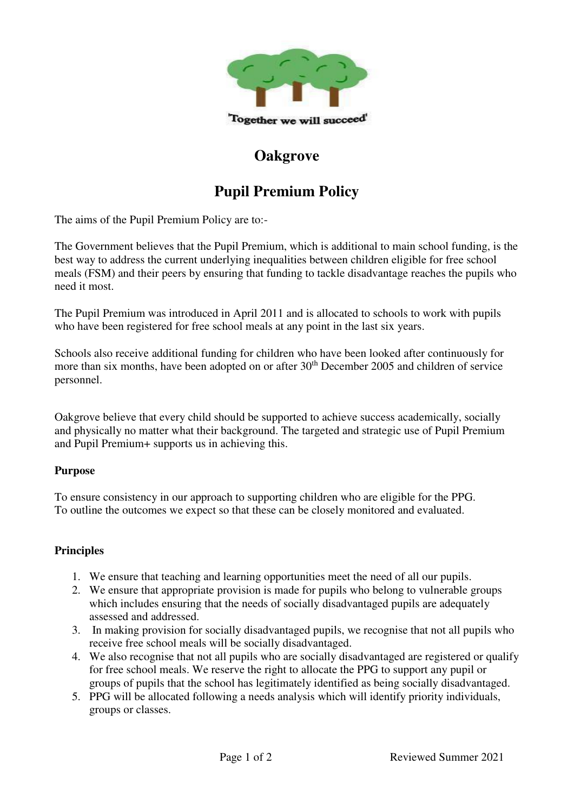

## **Oakgrove**

# **Pupil Premium Policy**

The aims of the Pupil Premium Policy are to:-

The Government believes that the Pupil Premium, which is additional to main school funding, is the best way to address the current underlying inequalities between children eligible for free school meals (FSM) and their peers by ensuring that funding to tackle disadvantage reaches the pupils who need it most.

The Pupil Premium was introduced in April 2011 and is allocated to schools to work with pupils who have been registered for free school meals at any point in the last six years.

Schools also receive additional funding for children who have been looked after continuously for more than six months, have been adopted on or after 30<sup>th</sup> December 2005 and children of service personnel.

Oakgrove believe that every child should be supported to achieve success academically, socially and physically no matter what their background. The targeted and strategic use of Pupil Premium and Pupil Premium+ supports us in achieving this.

#### **Purpose**

To ensure consistency in our approach to supporting children who are eligible for the PPG. To outline the outcomes we expect so that these can be closely monitored and evaluated.

#### **Principles**

- 1. We ensure that teaching and learning opportunities meet the need of all our pupils.
- 2. We ensure that appropriate provision is made for pupils who belong to vulnerable groups which includes ensuring that the needs of socially disadvantaged pupils are adequately assessed and addressed.
- 3. In making provision for socially disadvantaged pupils, we recognise that not all pupils who receive free school meals will be socially disadvantaged.
- 4. We also recognise that not all pupils who are socially disadvantaged are registered or qualify for free school meals. We reserve the right to allocate the PPG to support any pupil or groups of pupils that the school has legitimately identified as being socially disadvantaged.
- 5. PPG will be allocated following a needs analysis which will identify priority individuals, groups or classes.